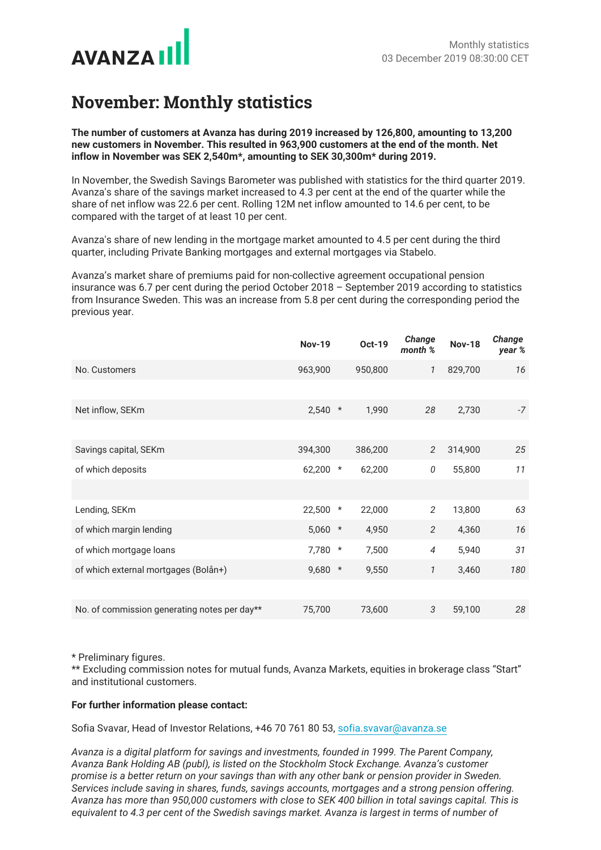

## **November: Monthly statistics**

**The number of customers at Avanza has during 2019 increased by 126,800, amounting to 13,200 new customers in November. This resulted in 963,900 customers at the end of the month. Net inflow in November was SEK 2,540m\*, amounting to SEK 30,300m\* during 2019.**

In November, the Swedish Savings Barometer was published with statistics for the third quarter 2019. Avanza's share of the savings market increased to 4.3 per cent at the end of the quarter while the share of net inflow was 22.6 per cent. Rolling 12M net inflow amounted to 14.6 per cent, to be compared with the target of at least 10 per cent.

Avanza's share of new lending in the mortgage market amounted to 4.5 per cent during the third quarter, including Private Banking mortgages and external mortgages via Stabelo.

Avanza's market share of premiums paid for non-collective agreement occupational pension insurance was 6.7 per cent during the period October 2018 – September 2019 according to statistics from Insurance Sweden. This was an increase from 5.8 per cent during the corresponding period the previous year.

|                                              | <b>Nov-19</b> |         | <b>Oct-19</b> | <b>Change</b><br>month % | <b>Nov-18</b> | Change<br>year % |
|----------------------------------------------|---------------|---------|---------------|--------------------------|---------------|------------------|
| No. Customers                                | 963,900       |         | 950,800       | $\mathcal{I}$            | 829,700       | 16               |
|                                              |               |         |               |                          |               |                  |
| Net inflow, SEKm                             | 2,540         | $\star$ | 1,990         | 28                       | 2,730         | $-7$             |
|                                              |               |         |               |                          |               |                  |
| Savings capital, SEKm                        | 394,300       |         | 386,200       | 2                        | 314,900       | 25               |
| of which deposits                            | 62,200        | $\star$ | 62,200        | 0                        | 55,800        | 11               |
|                                              |               |         |               |                          |               |                  |
| Lending, SEKm                                | 22,500 *      |         | 22,000        | 2                        | 13,800        | 63               |
| of which margin lending                      | 5,060         | $\star$ | 4,950         | 2                        | 4,360         | 16               |
| of which mortgage loans                      | 7,780         | $\star$ | 7,500         | $\overline{4}$           | 5,940         | 31               |
| of which external mortgages (Bolån+)         | 9,680 *       |         | 9,550         | 1                        | 3,460         | 180              |
|                                              |               |         |               |                          |               |                  |
| No. of commission generating notes per day** | 75,700        |         | 73,600        | 3                        | 59,100        | 28               |

\* Preliminary figures.

\*\* Excluding commission notes for mutual funds, Avanza Markets, equities in brokerage class "Start" and institutional customers.

## **For further information please contact:**

Sofia Svavar, Head of Investor Relations, +46 70 761 80 53, sofia.svavar@avanza.se

*Avanza is a digital platform for savings and investments, founded in 1999. The Parent Company, Avanza Bank Holding AB (publ), is listed on the Stockholm Stock Exchange. Avanza's customer promise is a better return on your savings than with any other bank or pension provider in Sweden. Services include saving in shares, funds, savings accounts, mortgages and a strong pension offering. Avanza has more than 950,000 customers with close to SEK 400 billion in total savings capital. This is equivalent to 4.3 per cent of the Swedish savings market. Avanza is largest in terms of number of*